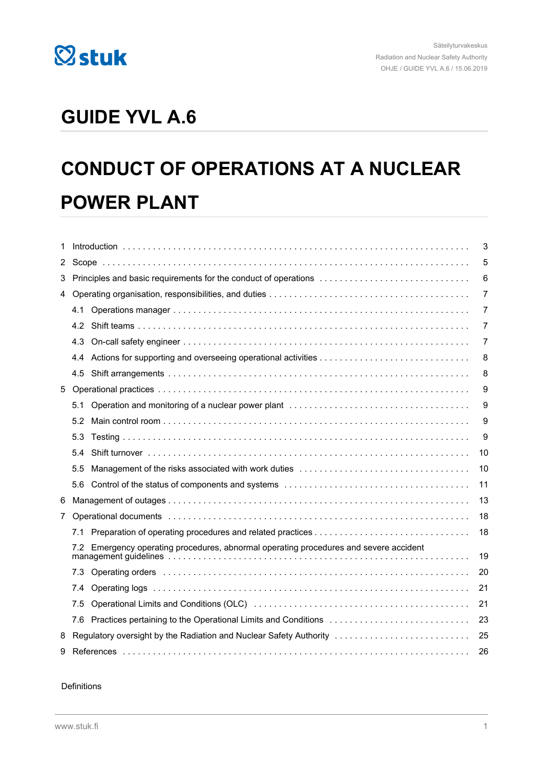

## **GUIDE YVL A.6**

## **CONDUCT OF OPERATIONS AT A NUCLEAR POWER PLANT**

| 1              |                                                                                                                                                                                                                                | 3                                                                                                                                                                                                                             |                |  |
|----------------|--------------------------------------------------------------------------------------------------------------------------------------------------------------------------------------------------------------------------------|-------------------------------------------------------------------------------------------------------------------------------------------------------------------------------------------------------------------------------|----------------|--|
| 2              |                                                                                                                                                                                                                                |                                                                                                                                                                                                                               | 5              |  |
| 3              | Principles and basic requirements for the conduct of operations                                                                                                                                                                |                                                                                                                                                                                                                               | 6              |  |
| 4              |                                                                                                                                                                                                                                |                                                                                                                                                                                                                               | $\overline{7}$ |  |
|                | 4.1                                                                                                                                                                                                                            |                                                                                                                                                                                                                               | $\overline{7}$ |  |
|                | 4.2                                                                                                                                                                                                                            |                                                                                                                                                                                                                               | $\overline{7}$ |  |
|                | 4.3                                                                                                                                                                                                                            |                                                                                                                                                                                                                               | 7              |  |
|                | 4.4                                                                                                                                                                                                                            |                                                                                                                                                                                                                               | 8              |  |
|                | 4.5                                                                                                                                                                                                                            |                                                                                                                                                                                                                               | 8              |  |
| 5              |                                                                                                                                                                                                                                |                                                                                                                                                                                                                               | 9              |  |
|                | 5.1                                                                                                                                                                                                                            |                                                                                                                                                                                                                               | 9              |  |
|                | 5.2                                                                                                                                                                                                                            |                                                                                                                                                                                                                               | 9              |  |
|                | 5.3                                                                                                                                                                                                                            |                                                                                                                                                                                                                               | 9              |  |
|                | 5.4                                                                                                                                                                                                                            |                                                                                                                                                                                                                               | 10             |  |
|                | 5.5                                                                                                                                                                                                                            |                                                                                                                                                                                                                               | 10             |  |
|                | 5.6                                                                                                                                                                                                                            |                                                                                                                                                                                                                               | 11             |  |
| 6              |                                                                                                                                                                                                                                |                                                                                                                                                                                                                               | 13             |  |
| $\overline{7}$ | Operational documents in the contract of the contract of the contract of the contract of the contract of the contract of the contract of the contract of the contract of the contract of the contract of the contract of the c |                                                                                                                                                                                                                               | 18             |  |
|                | 7.1                                                                                                                                                                                                                            |                                                                                                                                                                                                                               | 18             |  |
|                |                                                                                                                                                                                                                                | 7.2 Emergency operating procedures, abnormal operating procedures and severe accident<br>19                                                                                                                                   |                |  |
|                | 7.3                                                                                                                                                                                                                            | Operating orders in the continuum contact the contract of the contract of the contract of the contract of the contract of the contract of the contract of the contract of the contract of the contract of the contract of the | 20             |  |
|                | 7.4                                                                                                                                                                                                                            |                                                                                                                                                                                                                               | 21             |  |
|                | 7.5                                                                                                                                                                                                                            |                                                                                                                                                                                                                               | 21             |  |
|                | 7.6                                                                                                                                                                                                                            | Practices pertaining to the Operational Limits and Conditions                                                                                                                                                                 | 23             |  |
| 8              |                                                                                                                                                                                                                                | Regulatory oversight by the Radiation and Nuclear Safety Authority                                                                                                                                                            | 25             |  |
| 9              |                                                                                                                                                                                                                                | 26                                                                                                                                                                                                                            |                |  |

Definitions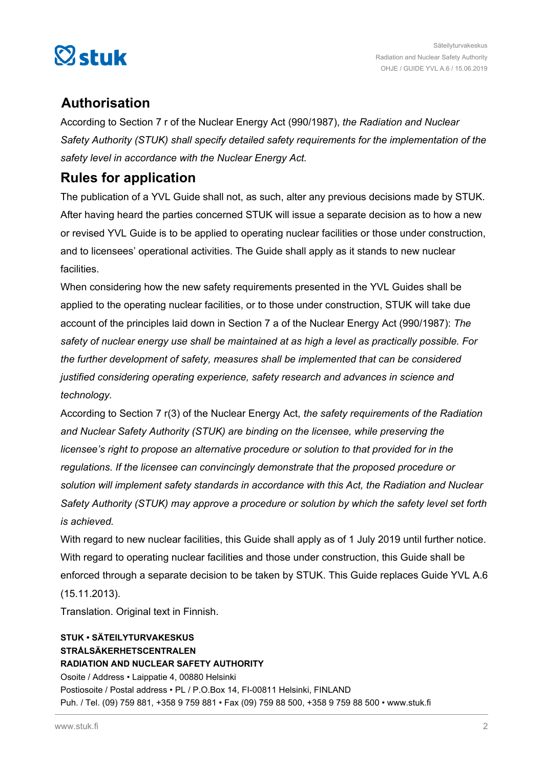

## **Authorisation**

According to Section 7 r of the Nuclear Energy Act (990/1987), *the Radiation and Nuclear Safety Authority (STUK) shall specify detailed safety requirements for the implementation of the safety level in accordance with the Nuclear Energy Act.*

## **Rules for application**

The publication of a YVL Guide shall not, as such, alter any previous decisions made by STUK. After having heard the parties concerned STUK will issue a separate decision as to how a new or revised YVL Guide is to be applied to operating nuclear facilities or those under construction, and to licensees' operational activities. The Guide shall apply as it stands to new nuclear facilities.

When considering how the new safety requirements presented in the YVL Guides shall be applied to the operating nuclear facilities, or to those under construction, STUK will take due account of the principles laid down in Section 7 a of the Nuclear Energy Act (990/1987): *The safety of nuclear energy use shall be maintained at as high a level as practically possible. For the further development of safety, measures shall be implemented that can be considered justified considering operating experience, safety research and advances in science and technology.*

According to Section 7 r(3) of the Nuclear Energy Act, *the safety requirements of the Radiation and Nuclear Safety Authority (STUK) are binding on the licensee, while preserving the licensee's right to propose an alternative procedure or solution to that provided for in the regulations. If the licensee can convincingly demonstrate that the proposed procedure or solution will implement safety standards in accordance with this Act, the Radiation and Nuclear Safety Authority (STUK) may approve a procedure or solution by which the safety level set forth is achieved.*

With regard to new nuclear facilities, this Guide shall apply as of 1 July 2019 until further notice. With regard to operating nuclear facilities and those under construction, this Guide shall be enforced through a separate decision to be taken by STUK. This Guide replaces Guide YVL A.6 (15.11.2013).

Translation. Original text in Finnish.

#### **STUK • SÄTEILYTURVAKESKUS STRÅLSÄKERHETSCENTRALEN RADIATION AND NUCLEAR SAFETY AUTHORITY** Osoite / Address • Laippatie 4, 00880 Helsinki Postiosoite / Postal address • PL / P.O.Box 14, FI-00811 Helsinki, FINLAND Puh. / Tel. (09) 759 881, +358 9 759 881 • Fax (09) 759 88 500, +358 9 759 88 500 • www.stuk.fi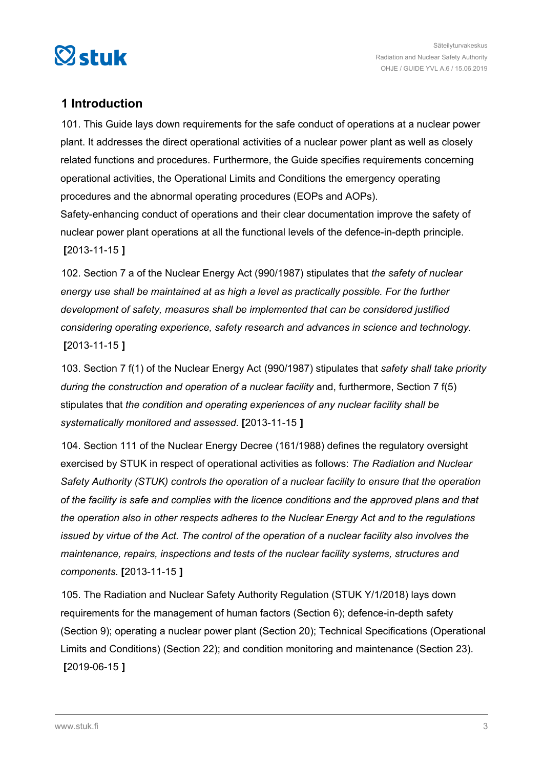<span id="page-2-0"></span>

## **1 Introduction**

101. This Guide lays down requirements for the safe conduct of operations at a nuclear power plant. It addresses the direct operational activities of a nuclear power plant as well as closely related functions and procedures. Furthermore, the Guide specifies requirements concerning operational activities, the Operational Limits and Conditions the emergency operating procedures and the abnormal operating procedures (EOPs and AOPs). Safety-enhancing conduct of operations and their clear documentation improve the safety of nuclear power plant operations at all the functional levels of the defence-in-depth principle. **[**2013-11-15 **]**

102. Section 7 a of the Nuclear Energy Act (990/1987) stipulates that *the safety of nuclear energy use shall be maintained at as high a level as practically possible. For the further development of safety, measures shall be implemented that can be considered justified considering operating experience, safety research and advances in science and technology.* **[**2013-11-15 **]**

103. Section 7 f(1) of the Nuclear Energy Act (990/1987) stipulates that *safety shall take priority during the construction and operation of a nuclear facility* and, furthermore, Section 7 f(5) stipulates that *the condition and operating experiences of any nuclear facility shall be systematically monitored and assessed*. **[**2013-11-15 **]**

104. Section 111 of the Nuclear Energy Decree (161/1988) defines the regulatory oversight exercised by STUK in respect of operational activities as follows: *The Radiation and Nuclear Safety Authority (STUK) controls the operation of a nuclear facility to ensure that the operation of the facility is safe and complies with the licence conditions and the approved plans and that the operation also in other respects adheres to the Nuclear Energy Act and to the regulations issued by virtue of the Act. The control of the operation of a nuclear facility also involves the maintenance, repairs, inspections and tests of the nuclear facility systems, structures and components.* **[**2013-11-15 **]**

105. The Radiation and Nuclear Safety Authority Regulation (STUK Y/1/2018) lays down requirements for the management of human factors (Section 6); defence-in-depth safety (Section 9); operating a nuclear power plant (Section 20); Technical Specifications (Operational Limits and Conditions) (Section 22); and condition monitoring and maintenance (Section 23). **[**2019-06-15 **]**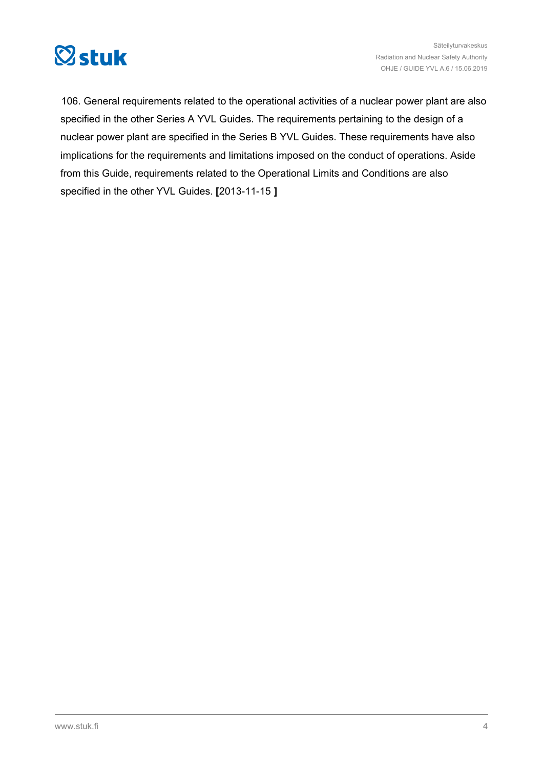

106. General requirements related to the operational activities of a nuclear power plant are also specified in the other Series A YVL Guides. The requirements pertaining to the design of a nuclear power plant are specified in the Series B YVL Guides. These requirements have also implications for the requirements and limitations imposed on the conduct of operations. Aside from this Guide, requirements related to the Operational Limits and Conditions are also specified in the other YVL Guides. **[**2013-11-15 **]**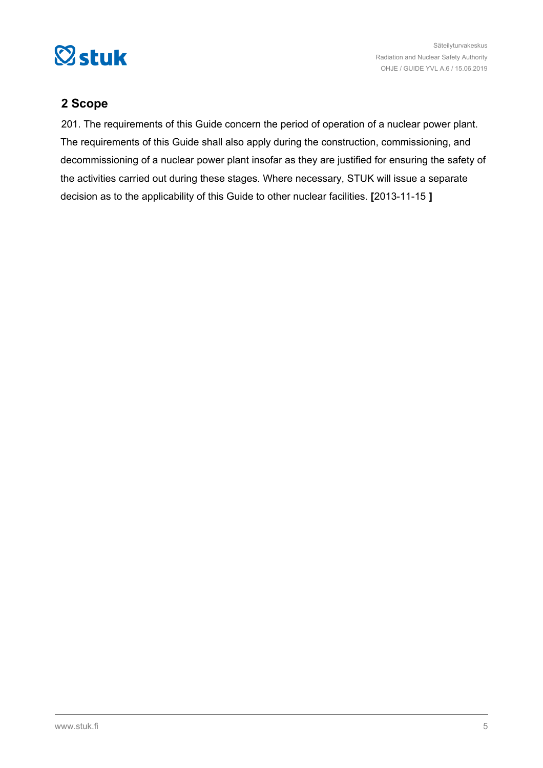<span id="page-4-0"></span>

## **2 Scope**

201. The requirements of this Guide concern the period of operation of a nuclear power plant. The requirements of this Guide shall also apply during the construction, commissioning, and decommissioning of a nuclear power plant insofar as they are justified for ensuring the safety of the activities carried out during these stages. Where necessary, STUK will issue a separate decision as to the applicability of this Guide to other nuclear facilities. **[**2013-11-15 **]**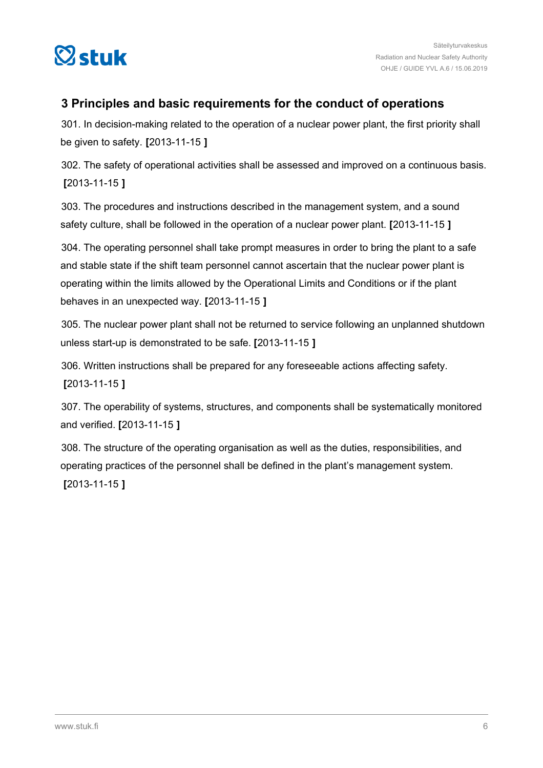<span id="page-5-0"></span>

## **3 Principles and basic requirements for the conduct of operations**

301. In decision-making related to the operation of a nuclear power plant, the first priority shall be given to safety. **[**2013-11-15 **]**

302. The safety of operational activities shall be assessed and improved on a continuous basis. **[**2013-11-15 **]**

303. The procedures and instructions described in the management system, and a sound safety culture, shall be followed in the operation of a nuclear power plant. **[**2013-11-15 **]**

304. The operating personnel shall take prompt measures in order to bring the plant to a safe and stable state if the shift team personnel cannot ascertain that the nuclear power plant is operating within the limits allowed by the Operational Limits and Conditions or if the plant behaves in an unexpected way. **[**2013-11-15 **]**

305. The nuclear power plant shall not be returned to service following an unplanned shutdown unless start-up is demonstrated to be safe. **[**2013-11-15 **]**

306. Written instructions shall be prepared for any foreseeable actions affecting safety. **[**2013-11-15 **]**

307. The operability of systems, structures, and components shall be systematically monitored and verified. **[**2013-11-15 **]**

308. The structure of the operating organisation as well as the duties, responsibilities, and operating practices of the personnel shall be defined in the plant's management system. **[**2013-11-15 **]**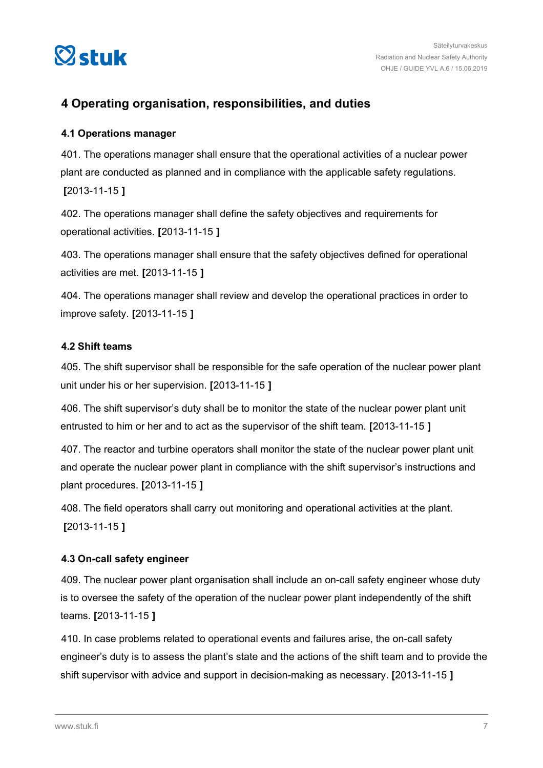<span id="page-6-0"></span>

## **4 Operating organisation, responsibilities, and duties**

#### **4.1 Operations manager**

401. The operations manager shall ensure that the operational activities of a nuclear power plant are conducted as planned and in compliance with the applicable safety regulations. **[**2013-11-15 **]**

402. The operations manager shall define the safety objectives and requirements for operational activities. **[**2013-11-15 **]**

403. The operations manager shall ensure that the safety objectives defined for operational activities are met. **[**2013-11-15 **]**

404. The operations manager shall review and develop the operational practices in order to improve safety. **[**2013-11-15 **]**

#### **4.2 Shift teams**

405. The shift supervisor shall be responsible for the safe operation of the nuclear power plant unit under his or her supervision. **[**2013-11-15 **]**

406. The shift supervisor's duty shall be to monitor the state of the nuclear power plant unit entrusted to him or her and to act as the supervisor of the shift team. **[**2013-11-15 **]**

407. The reactor and turbine operators shall monitor the state of the nuclear power plant unit and operate the nuclear power plant in compliance with the shift supervisor's instructions and plant procedures. **[**2013-11-15 **]**

408. The field operators shall carry out monitoring and operational activities at the plant. **[**2013-11-15 **]**

#### **4.3 On-call safety engineer**

409. The nuclear power plant organisation shall include an on-call safety engineer whose duty is to oversee the safety of the operation of the nuclear power plant independently of the shift teams. **[**2013-11-15 **]**

410. In case problems related to operational events and failures arise, the on-call safety engineer's duty is to assess the plant's state and the actions of the shift team and to provide the shift supervisor with advice and support in decision-making as necessary. **[**2013-11-15 **]**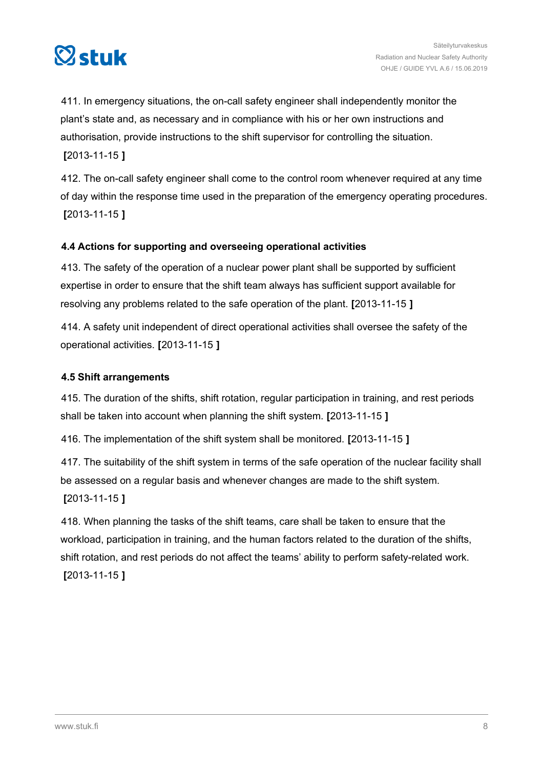<span id="page-7-0"></span>

411. In emergency situations, the on-call safety engineer shall independently monitor the plant's state and, as necessary and in compliance with his or her own instructions and authorisation, provide instructions to the shift supervisor for controlling the situation. **[**2013-11-15 **]**

412. The on-call safety engineer shall come to the control room whenever required at any time of day within the response time used in the preparation of the emergency operating procedures. **[**2013-11-15 **]**

#### **4.4 Actions for supporting and overseeing operational activities**

413. The safety of the operation of a nuclear power plant shall be supported by sufficient expertise in order to ensure that the shift team always has sufficient support available for resolving any problems related to the safe operation of the plant. **[**2013-11-15 **]**

414. A safety unit independent of direct operational activities shall oversee the safety of the operational activities. **[**2013-11-15 **]**

#### **4.5 Shift arrangements**

415. The duration of the shifts, shift rotation, regular participation in training, and rest periods shall be taken into account when planning the shift system. **[**2013-11-15 **]**

416. The implementation of the shift system shall be monitored. **[**2013-11-15 **]**

417. The suitability of the shift system in terms of the safe operation of the nuclear facility shall be assessed on a regular basis and whenever changes are made to the shift system. **[**2013-11-15 **]**

418. When planning the tasks of the shift teams, care shall be taken to ensure that the workload, participation in training, and the human factors related to the duration of the shifts, shift rotation, and rest periods do not affect the teams' ability to perform safety-related work. **[**2013-11-15 **]**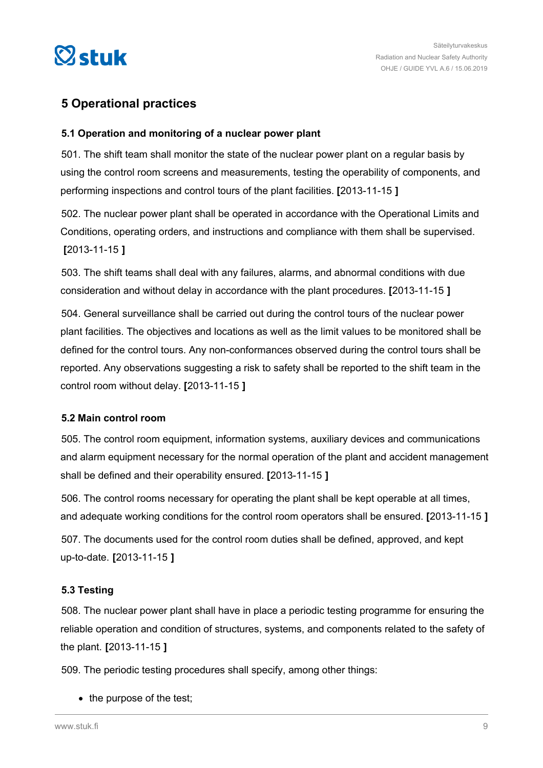<span id="page-8-0"></span>

## **5 Operational practices**

#### **5.1 Operation and monitoring of a nuclear power plant**

501. The shift team shall monitor the state of the nuclear power plant on a regular basis by using the control room screens and measurements, testing the operability of components, and performing inspections and control tours of the plant facilities. **[**2013-11-15 **]**

502. The nuclear power plant shall be operated in accordance with the Operational Limits and Conditions, operating orders, and instructions and compliance with them shall be supervised. **[**2013-11-15 **]**

503. The shift teams shall deal with any failures, alarms, and abnormal conditions with due consideration and without delay in accordance with the plant procedures. **[**2013-11-15 **]**

504. General surveillance shall be carried out during the control tours of the nuclear power plant facilities. The objectives and locations as well as the limit values to be monitored shall be defined for the control tours. Any non-conformances observed during the control tours shall be reported. Any observations suggesting a risk to safety shall be reported to the shift team in the control room without delay. **[**2013-11-15 **]**

#### **5.2 Main control room**

505. The control room equipment, information systems, auxiliary devices and communications and alarm equipment necessary for the normal operation of the plant and accident management shall be defined and their operability ensured. **[**2013-11-15 **]**

506. The control rooms necessary for operating the plant shall be kept operable at all times, and adequate working conditions for the control room operators shall be ensured. **[**2013-11-15 **]**

507. The documents used for the control room duties shall be defined, approved, and kept up-to-date. **[**2013-11-15 **]**

#### **5.3 Testing**

508. The nuclear power plant shall have in place a periodic testing programme for ensuring the reliable operation and condition of structures, systems, and components related to the safety of the plant. **[**2013-11-15 **]**

509. The periodic testing procedures shall specify, among other things:

 $\bullet$  the purpose of the test;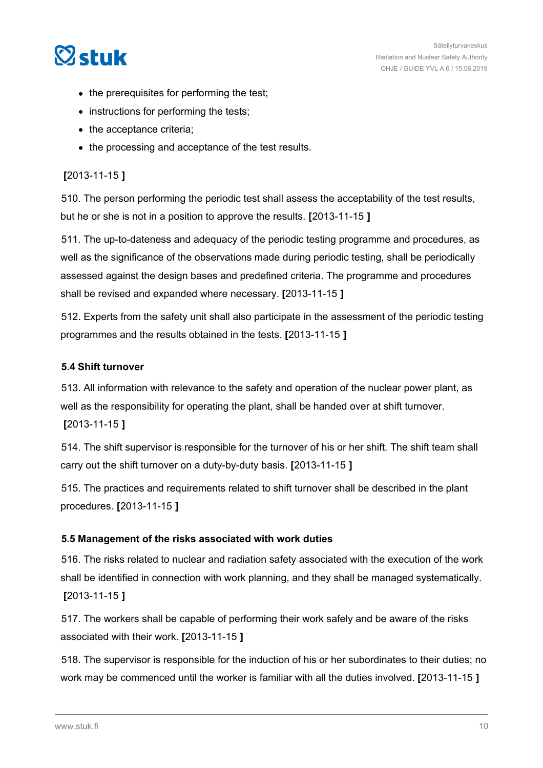# <span id="page-9-0"></span> $\heartsuit$ stuk

- the prerequisites for performing the test;
- instructions for performing the tests;
- the acceptance criteria;
- the processing and acceptance of the test results.

#### **[**2013-11-15 **]**

510. The person performing the periodic test shall assess the acceptability of the test results, but he or she is not in a position to approve the results. **[**2013-11-15 **]**

511. The up-to-dateness and adequacy of the periodic testing programme and procedures, as well as the significance of the observations made during periodic testing, shall be periodically assessed against the design bases and predefined criteria. The programme and procedures shall be revised and expanded where necessary. **[**2013-11-15 **]**

512. Experts from the safety unit shall also participate in the assessment of the periodic testing programmes and the results obtained in the tests. **[**2013-11-15 **]**

#### **5.4 Shift turnover**

513. All information with relevance to the safety and operation of the nuclear power plant, as well as the responsibility for operating the plant, shall be handed over at shift turnover. **[**2013-11-15 **]**

514. The shift supervisor is responsible for the turnover of his or her shift. The shift team shall carry out the shift turnover on a duty-by-duty basis. **[**2013-11-15 **]**

515. The practices and requirements related to shift turnover shall be described in the plant procedures. **[**2013-11-15 **]**

#### **5.5 Management of the risks associated with work duties**

516. The risks related to nuclear and radiation safety associated with the execution of the work shall be identified in connection with work planning, and they shall be managed systematically. **[**2013-11-15 **]**

517. The workers shall be capable of performing their work safely and be aware of the risks associated with their work. **[**2013-11-15 **]**

518. The supervisor is responsible for the induction of his or her subordinates to their duties; no work may be commenced until the worker is familiar with all the duties involved. **[**2013-11-15 **]**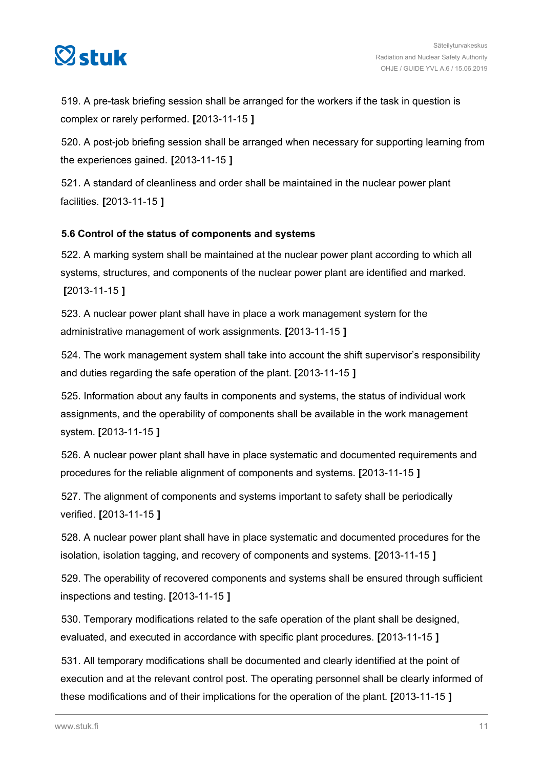# <span id="page-10-0"></span> $\heartsuit$ stuk

519. A pre-task briefing session shall be arranged for the workers if the task in question is complex or rarely performed. **[**2013-11-15 **]**

520. A post-job briefing session shall be arranged when necessary for supporting learning from the experiences gained. **[**2013-11-15 **]**

521. A standard of cleanliness and order shall be maintained in the nuclear power plant facilities. **[**2013-11-15 **]**

#### **5.6 Control of the status of components and systems**

522. A marking system shall be maintained at the nuclear power plant according to which all systems, structures, and components of the nuclear power plant are identified and marked. **[**2013-11-15 **]**

523. A nuclear power plant shall have in place a work management system for the administrative management of work assignments. **[**2013-11-15 **]**

524. The work management system shall take into account the shift supervisor's responsibility and duties regarding the safe operation of the plant. **[**2013-11-15 **]**

525. Information about any faults in components and systems, the status of individual work assignments, and the operability of components shall be available in the work management system. **[**2013-11-15 **]**

526. A nuclear power plant shall have in place systematic and documented requirements and procedures for the reliable alignment of components and systems. **[**2013-11-15 **]**

527. The alignment of components and systems important to safety shall be periodically verified. **[**2013-11-15 **]**

528. A nuclear power plant shall have in place systematic and documented procedures for the isolation, isolation tagging, and recovery of components and systems. **[**2013-11-15 **]**

529. The operability of recovered components and systems shall be ensured through sufficient inspections and testing. **[**2013-11-15 **]**

530. Temporary modifications related to the safe operation of the plant shall be designed, evaluated, and executed in accordance with specific plant procedures. **[**2013-11-15 **]**

531. All temporary modifications shall be documented and clearly identified at the point of execution and at the relevant control post. The operating personnel shall be clearly informed of these modifications and of their implications for the operation of the plant. **[**2013-11-15 **]**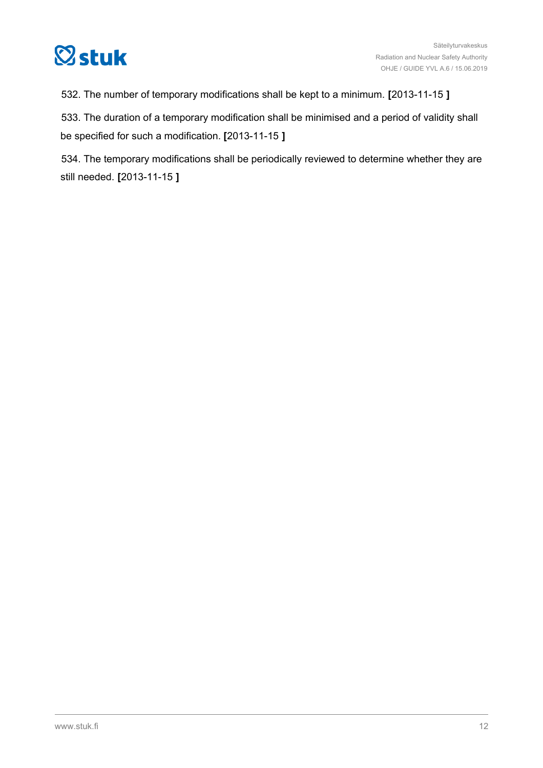

532. The number of temporary modifications shall be kept to a minimum. **[**2013-11-15 **]**

533. The duration of a temporary modification shall be minimised and a period of validity shall be specified for such a modification. **[**2013-11-15 **]**

534. The temporary modifications shall be periodically reviewed to determine whether they are still needed. **[**2013-11-15 **]**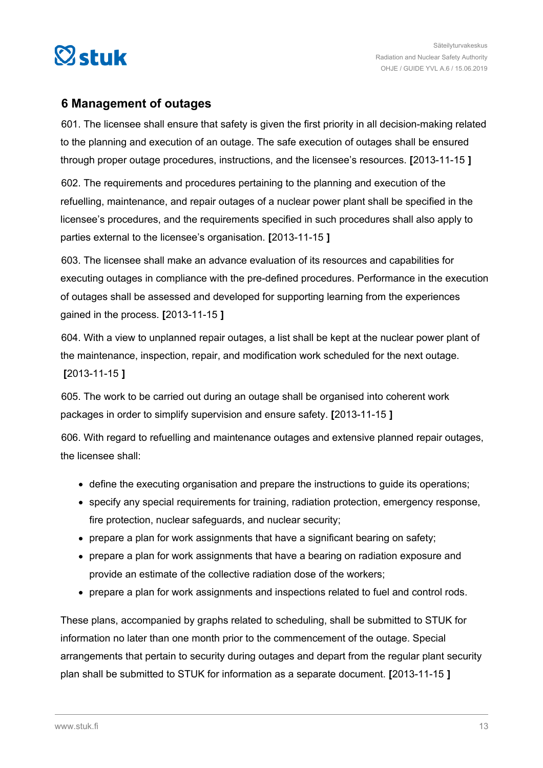<span id="page-12-0"></span>

### **6 Management of outages**

601. The licensee shall ensure that safety is given the first priority in all decision-making related to the planning and execution of an outage. The safe execution of outages shall be ensured through proper outage procedures, instructions, and the licensee's resources. **[**2013-11-15 **]**

602. The requirements and procedures pertaining to the planning and execution of the refuelling, maintenance, and repair outages of a nuclear power plant shall be specified in the licensee's procedures, and the requirements specified in such procedures shall also apply to parties external to the licensee's organisation. **[**2013-11-15 **]**

603. The licensee shall make an advance evaluation of its resources and capabilities for executing outages in compliance with the pre-defined procedures. Performance in the execution of outages shall be assessed and developed for supporting learning from the experiences gained in the process. **[**2013-11-15 **]**

604. With a view to unplanned repair outages, a list shall be kept at the nuclear power plant of the maintenance, inspection, repair, and modification work scheduled for the next outage. **[**2013-11-15 **]**

605. The work to be carried out during an outage shall be organised into coherent work packages in order to simplify supervision and ensure safety. **[**2013-11-15 **]**

606. With regard to refuelling and maintenance outages and extensive planned repair outages, the licensee shall:

- define the executing organisation and prepare the instructions to guide its operations;
- specify any special requirements for training, radiation protection, emergency response, fire protection, nuclear safeguards, and nuclear security;
- prepare a plan for work assignments that have a significant bearing on safety;
- prepare a plan for work assignments that have a bearing on radiation exposure and provide an estimate of the collective radiation dose of the workers;
- prepare a plan for work assignments and inspections related to fuel and control rods.

These plans, accompanied by graphs related to scheduling, shall be submitted to STUK for information no later than one month prior to the commencement of the outage. Special arrangements that pertain to security during outages and depart from the regular plant security plan shall be submitted to STUK for information as a separate document. **[**2013-11-15 **]**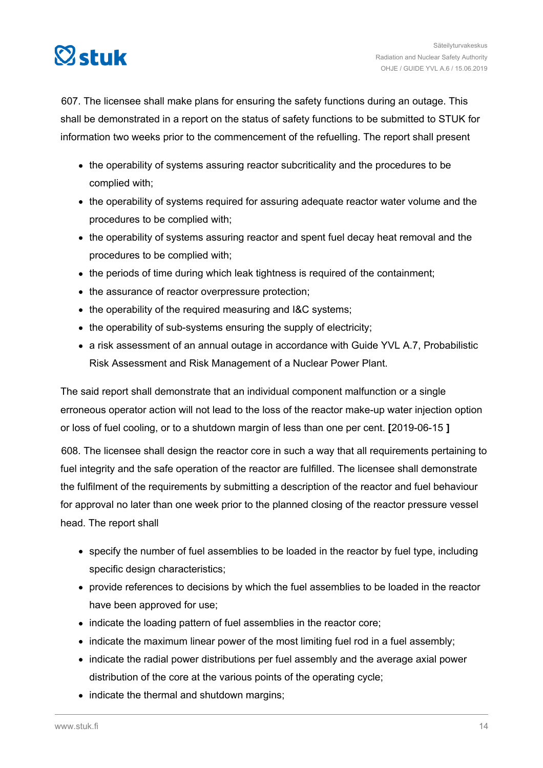

607. The licensee shall make plans for ensuring the safety functions during an outage. This shall be demonstrated in a report on the status of safety functions to be submitted to STUK for information two weeks prior to the commencement of the refuelling. The report shall present

- the operability of systems assuring reactor subcriticality and the procedures to be complied with;
- the operability of systems required for assuring adequate reactor water volume and the procedures to be complied with;
- the operability of systems assuring reactor and spent fuel decay heat removal and the procedures to be complied with;
- the periods of time during which leak tightness is required of the containment;
- the assurance of reactor overpressure protection;
- the operability of the required measuring and I&C systems;
- the operability of sub-systems ensuring the supply of electricity;
- a risk assessment of an annual outage in accordance with Guide YVL A.7, Probabilistic Risk Assessment and Risk Management of a Nuclear Power Plant.

The said report shall demonstrate that an individual component malfunction or a single erroneous operator action will not lead to the loss of the reactor make-up water injection option or loss of fuel cooling, or to a shutdown margin of less than one per cent. **[**2019-06-15 **]**

608. The licensee shall design the reactor core in such a way that all requirements pertaining to fuel integrity and the safe operation of the reactor are fulfilled. The licensee shall demonstrate the fulfilment of the requirements by submitting a description of the reactor and fuel behaviour for approval no later than one week prior to the planned closing of the reactor pressure vessel head. The report shall

- specify the number of fuel assemblies to be loaded in the reactor by fuel type, including specific design characteristics;
- provide references to decisions by which the fuel assemblies to be loaded in the reactor have been approved for use;
- indicate the loading pattern of fuel assemblies in the reactor core;
- indicate the maximum linear power of the most limiting fuel rod in a fuel assembly;
- indicate the radial power distributions per fuel assembly and the average axial power distribution of the core at the various points of the operating cycle;
- indicate the thermal and shutdown margins;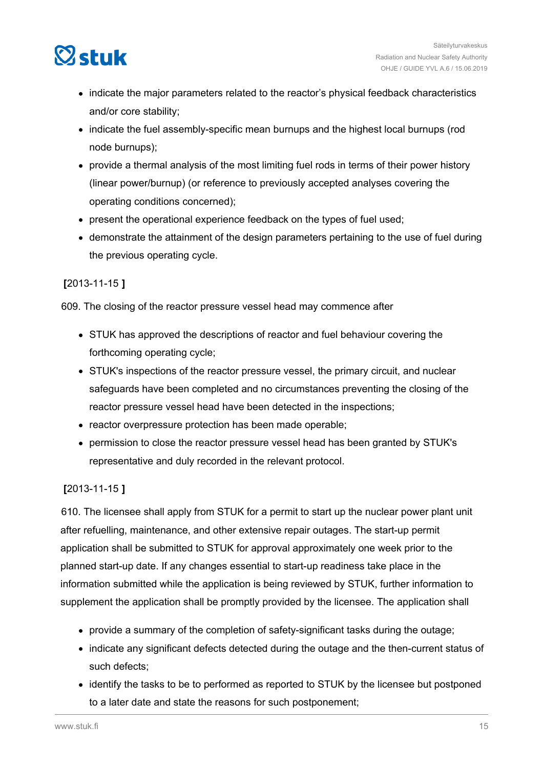

- indicate the major parameters related to the reactor's physical feedback characteristics and/or core stability;
- indicate the fuel assembly-specific mean burnups and the highest local burnups (rod node burnups);
- provide a thermal analysis of the most limiting fuel rods in terms of their power history (linear power/burnup) (or reference to previously accepted analyses covering the operating conditions concerned);
- present the operational experience feedback on the types of fuel used;
- demonstrate the attainment of the design parameters pertaining to the use of fuel during the previous operating cycle.

#### **[**2013-11-15 **]**

609. The closing of the reactor pressure vessel head may commence after

- STUK has approved the descriptions of reactor and fuel behaviour covering the forthcoming operating cycle;
- STUK's inspections of the reactor pressure vessel, the primary circuit, and nuclear safeguards have been completed and no circumstances preventing the closing of the reactor pressure vessel head have been detected in the inspections;
- reactor overpressure protection has been made operable:
- permission to close the reactor pressure vessel head has been granted by STUK's representative and duly recorded in the relevant protocol.

#### **[**2013-11-15 **]**

610. The licensee shall apply from STUK for a permit to start up the nuclear power plant unit after refuelling, maintenance, and other extensive repair outages. The start-up permit application shall be submitted to STUK for approval approximately one week prior to the planned start-up date. If any changes essential to start-up readiness take place in the information submitted while the application is being reviewed by STUK, further information to supplement the application shall be promptly provided by the licensee. The application shall

- provide a summary of the completion of safety-significant tasks during the outage;
- indicate any significant defects detected during the outage and the then-current status of such defects;
- identify the tasks to be to performed as reported to STUK by the licensee but postponed to a later date and state the reasons for such postponement;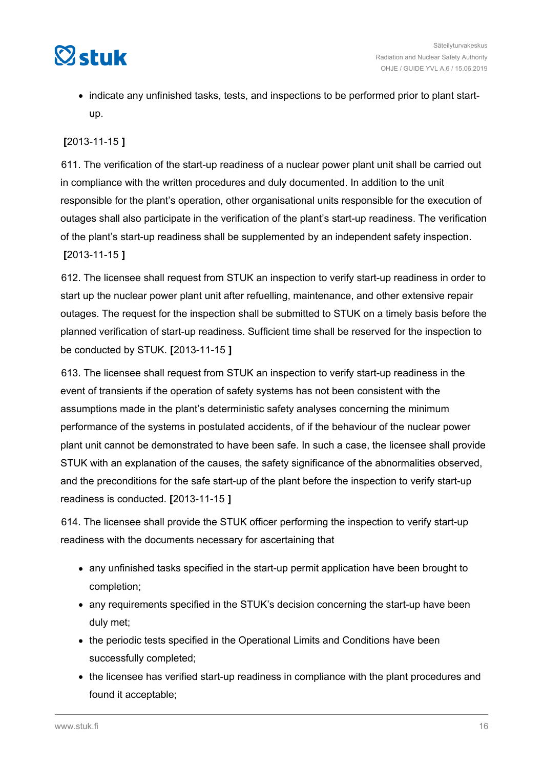

• indicate any unfinished tasks, tests, and inspections to be performed prior to plant startup.

#### **[**2013-11-15 **]**

611. The verification of the start-up readiness of a nuclear power plant unit shall be carried out in compliance with the written procedures and duly documented. In addition to the unit responsible for the plant's operation, other organisational units responsible for the execution of outages shall also participate in the verification of the plant's start-up readiness. The verification of the plant's start-up readiness shall be supplemented by an independent safety inspection.

#### **[**2013-11-15 **]**

612. The licensee shall request from STUK an inspection to verify start-up readiness in order to start up the nuclear power plant unit after refuelling, maintenance, and other extensive repair outages. The request for the inspection shall be submitted to STUK on a timely basis before the planned verification of start-up readiness. Sufficient time shall be reserved for the inspection to be conducted by STUK. **[**2013-11-15 **]**

613. The licensee shall request from STUK an inspection to verify start-up readiness in the event of transients if the operation of safety systems has not been consistent with the assumptions made in the plant's deterministic safety analyses concerning the minimum performance of the systems in postulated accidents, of if the behaviour of the nuclear power plant unit cannot be demonstrated to have been safe. In such a case, the licensee shall provide STUK with an explanation of the causes, the safety significance of the abnormalities observed, and the preconditions for the safe start-up of the plant before the inspection to verify start-up readiness is conducted. **[**2013-11-15 **]**

614. The licensee shall provide the STUK officer performing the inspection to verify start-up readiness with the documents necessary for ascertaining that

- any unfinished tasks specified in the start-up permit application have been brought to completion;
- any requirements specified in the STUK's decision concerning the start-up have been duly met;
- the periodic tests specified in the Operational Limits and Conditions have been successfully completed;
- the licensee has verified start-up readiness in compliance with the plant procedures and found it acceptable;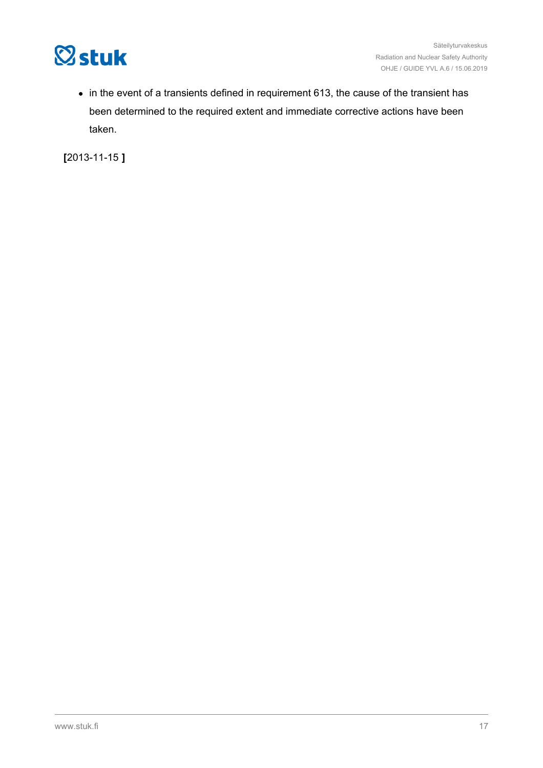

• in the event of a transients defined in requirement 613, the cause of the transient has been determined to the required extent and immediate corrective actions have been taken.

**[**2013-11-15 **]**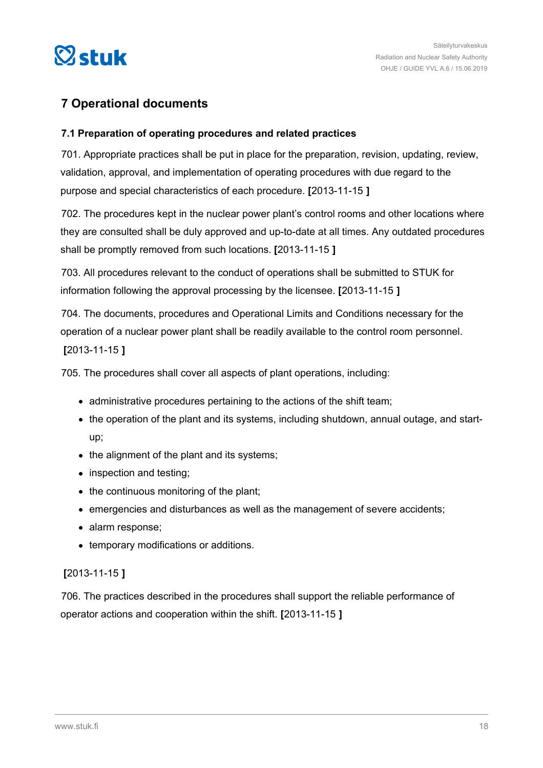<span id="page-17-0"></span>

## **7 Operational documents**

#### **7.1 Preparation of operating procedures and related practices**

701. Appropriate practices shall be put in place for the preparation, revision, updating, review, validation, approval, and implementation of operating procedures with due regard to the purpose and special characteristics of each procedure. **[**2013-11-15 **]**

702. The procedures kept in the nuclear power plant's control rooms and other locations where they are consulted shall be duly approved and up-to-date at all times. Any outdated procedures shall be promptly removed from such locations. **[**2013-11-15 **]**

703. All procedures relevant to the conduct of operations shall be submitted to STUK for information following the approval processing by the licensee. **[**2013-11-15 **]**

704. The documents, procedures and Operational Limits and Conditions necessary for the operation of a nuclear power plant shall be readily available to the control room personnel. **[**2013-11-15 **]**

705. The procedures shall cover all aspects of plant operations, including:

- administrative procedures pertaining to the actions of the shift team;
- the operation of the plant and its systems, including shutdown, annual outage, and startup;
- the alignment of the plant and its systems;
- inspection and testing;
- $\bullet$  the continuous monitoring of the plant;
- emergencies and disturbances as well as the management of severe accidents;
- alarm response;
- temporary modifications or additions.

#### **[**2013-11-15 **]**

706. The practices described in the procedures shall support the reliable performance of operator actions and cooperation within the shift. **[**2013-11-15 **]**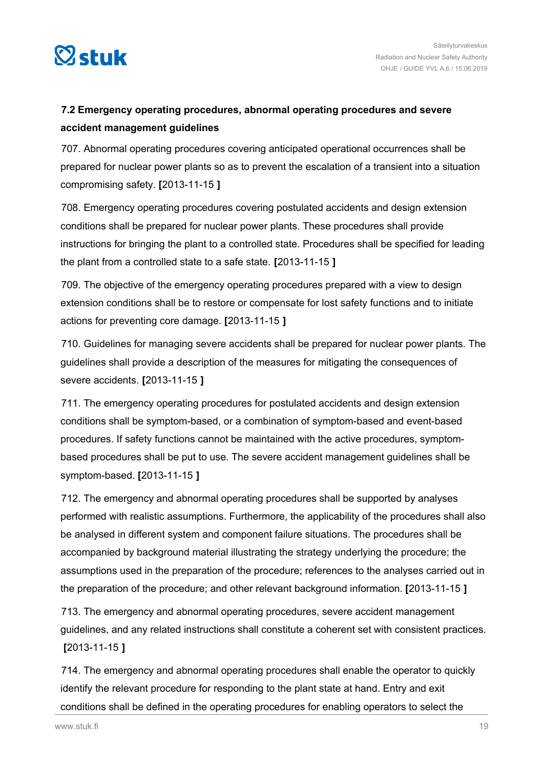<span id="page-18-0"></span>

## **7.2 Emergency operating procedures, abnormal operating procedures and severe accident management guidelines**

707. Abnormal operating procedures covering anticipated operational occurrences shall be prepared for nuclear power plants so as to prevent the escalation of a transient into a situation compromising safety. **[**2013-11-15 **]**

708. Emergency operating procedures covering postulated accidents and design extension conditions shall be prepared for nuclear power plants. These procedures shall provide instructions for bringing the plant to a controlled state. Procedures shall be specified for leading the plant from a controlled state to a safe state. **[**2013-11-15 **]**

709. The objective of the emergency operating procedures prepared with a view to design extension conditions shall be to restore or compensate for lost safety functions and to initiate actions for preventing core damage. **[**2013-11-15 **]**

710. Guidelines for managing severe accidents shall be prepared for nuclear power plants. The guidelines shall provide a description of the measures for mitigating the consequences of severe accidents. **[**2013-11-15 **]**

711. The emergency operating procedures for postulated accidents and design extension conditions shall be symptom-based, or a combination of symptom-based and event-based procedures. If safety functions cannot be maintained with the active procedures, symptombased procedures shall be put to use. The severe accident management guidelines shall be symptom-based. **[**2013-11-15 **]**

712. The emergency and abnormal operating procedures shall be supported by analyses performed with realistic assumptions. Furthermore, the applicability of the procedures shall also be analysed in different system and component failure situations. The procedures shall be accompanied by background material illustrating the strategy underlying the procedure; the assumptions used in the preparation of the procedure; references to the analyses carried out in the preparation of the procedure; and other relevant background information. **[**2013-11-15 **]**

713. The emergency and abnormal operating procedures, severe accident management guidelines, and any related instructions shall constitute a coherent set with consistent practices. **[**2013-11-15 **]**

714. The emergency and abnormal operating procedures shall enable the operator to quickly identify the relevant procedure for responding to the plant state at hand. Entry and exit conditions shall be defined in the operating procedures for enabling operators to select the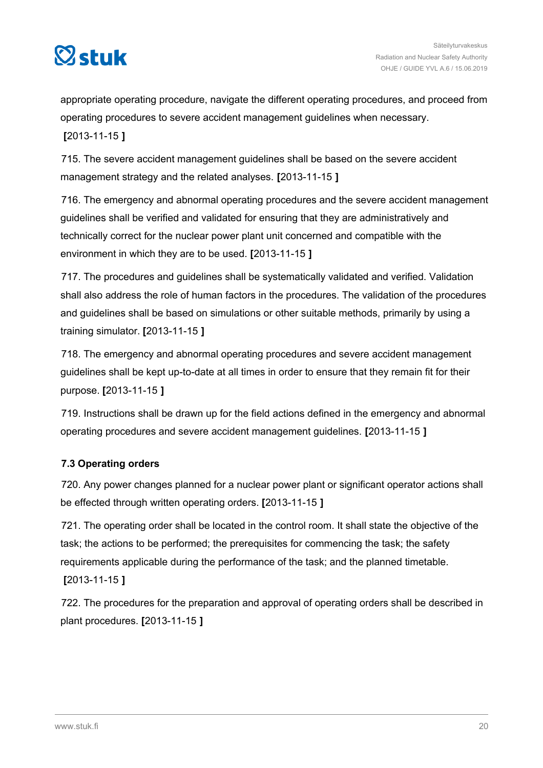<span id="page-19-0"></span>

appropriate operating procedure, navigate the different operating procedures, and proceed from operating procedures to severe accident management guidelines when necessary. **[**2013-11-15 **]**

715. The severe accident management guidelines shall be based on the severe accident management strategy and the related analyses. **[**2013-11-15 **]**

716. The emergency and abnormal operating procedures and the severe accident management guidelines shall be verified and validated for ensuring that they are administratively and technically correct for the nuclear power plant unit concerned and compatible with the environment in which they are to be used. **[**2013-11-15 **]**

717. The procedures and guidelines shall be systematically validated and verified. Validation shall also address the role of human factors in the procedures. The validation of the procedures and guidelines shall be based on simulations or other suitable methods, primarily by using a training simulator. **[**2013-11-15 **]**

718. The emergency and abnormal operating procedures and severe accident management guidelines shall be kept up-to-date at all times in order to ensure that they remain fit for their purpose. **[**2013-11-15 **]**

719. Instructions shall be drawn up for the field actions defined in the emergency and abnormal operating procedures and severe accident management guidelines. **[**2013-11-15 **]**

#### **7.3 Operating orders**

720. Any power changes planned for a nuclear power plant or significant operator actions shall be effected through written operating orders. **[**2013-11-15 **]**

721. The operating order shall be located in the control room. It shall state the objective of the task; the actions to be performed; the prerequisites for commencing the task; the safety requirements applicable during the performance of the task; and the planned timetable. **[**2013-11-15 **]**

722. The procedures for the preparation and approval of operating orders shall be described in plant procedures. **[**2013-11-15 **]**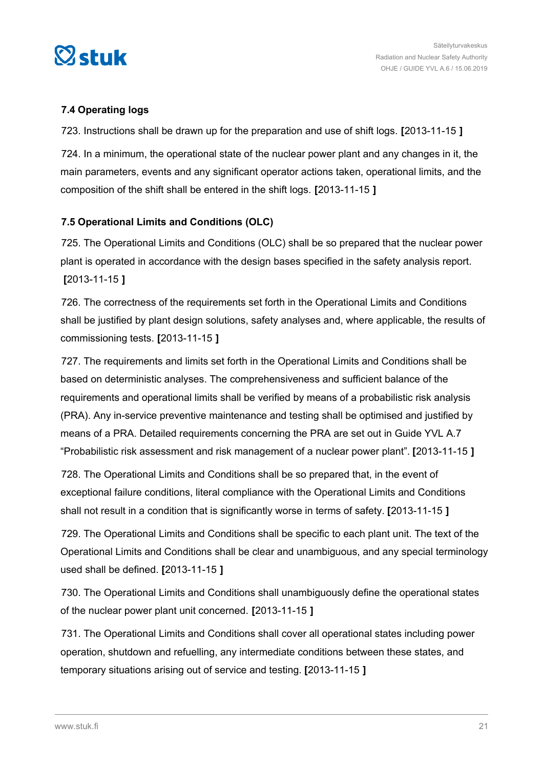<span id="page-20-0"></span>

#### **7.4 Operating logs**

723. Instructions shall be drawn up for the preparation and use of shift logs. **[**2013-11-15 **]**

724. In a minimum, the operational state of the nuclear power plant and any changes in it, the main parameters, events and any significant operator actions taken, operational limits, and the composition of the shift shall be entered in the shift logs. **[**2013-11-15 **]**

#### **7.5 Operational Limits and Conditions (OLC)**

725. The Operational Limits and Conditions (OLC) shall be so prepared that the nuclear power plant is operated in accordance with the design bases specified in the safety analysis report. **[**2013-11-15 **]**

726. The correctness of the requirements set forth in the Operational Limits and Conditions shall be justified by plant design solutions, safety analyses and, where applicable, the results of commissioning tests. **[**2013-11-15 **]**

727. The requirements and limits set forth in the Operational Limits and Conditions shall be based on deterministic analyses. The comprehensiveness and sufficient balance of the requirements and operational limits shall be verified by means of a probabilistic risk analysis (PRA). Any in-service preventive maintenance and testing shall be optimised and justified by means of a PRA. Detailed requirements concerning the PRA are set out in Guide YVL A.7 "Probabilistic risk assessment and risk management of a nuclear power plant". **[**2013-11-15 **]**

728. The Operational Limits and Conditions shall be so prepared that, in the event of exceptional failure conditions, literal compliance with the Operational Limits and Conditions shall not result in a condition that is significantly worse in terms of safety. **[**2013-11-15 **]**

729. The Operational Limits and Conditions shall be specific to each plant unit. The text of the Operational Limits and Conditions shall be clear and unambiguous, and any special terminology used shall be defined. **[**2013-11-15 **]**

730. The Operational Limits and Conditions shall unambiguously define the operational states of the nuclear power plant unit concerned. **[**2013-11-15 **]**

731. The Operational Limits and Conditions shall cover all operational states including power operation, shutdown and refuelling, any intermediate conditions between these states, and temporary situations arising out of service and testing. **[**2013-11-15 **]**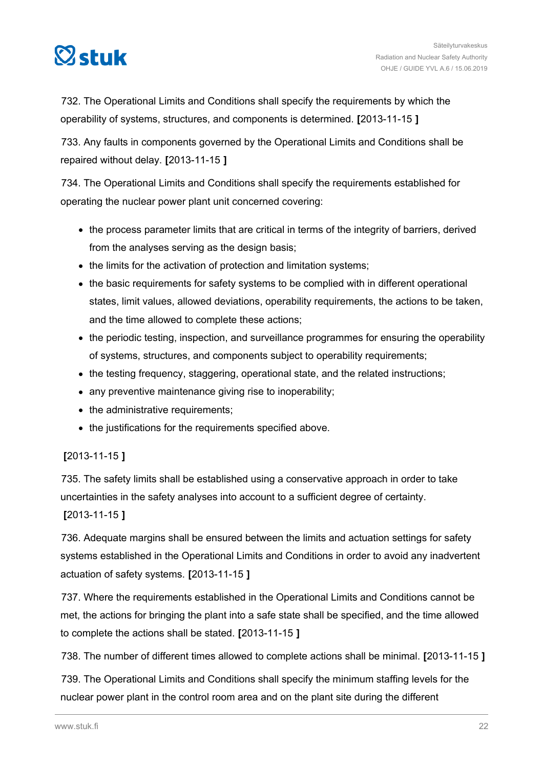

732. The Operational Limits and Conditions shall specify the requirements by which the operability of systems, structures, and components is determined. **[**2013-11-15 **]**

733. Any faults in components governed by the Operational Limits and Conditions shall be repaired without delay. **[**2013-11-15 **]**

734. The Operational Limits and Conditions shall specify the requirements established for operating the nuclear power plant unit concerned covering:

- the process parameter limits that are critical in terms of the integrity of barriers, derived from the analyses serving as the design basis;
- the limits for the activation of protection and limitation systems;
- the basic requirements for safety systems to be complied with in different operational states, limit values, allowed deviations, operability requirements, the actions to be taken, and the time allowed to complete these actions;
- the periodic testing, inspection, and surveillance programmes for ensuring the operability of systems, structures, and components subject to operability requirements;
- the testing frequency, staggering, operational state, and the related instructions;
- any preventive maintenance giving rise to inoperability;
- the administrative requirements;
- the justifications for the requirements specified above.

### **[**2013-11-15 **]**

735. The safety limits shall be established using a conservative approach in order to take uncertainties in the safety analyses into account to a sufficient degree of certainty.

**[**2013-11-15 **]**

736. Adequate margins shall be ensured between the limits and actuation settings for safety systems established in the Operational Limits and Conditions in order to avoid any inadvertent actuation of safety systems. **[**2013-11-15 **]**

737. Where the requirements established in the Operational Limits and Conditions cannot be met, the actions for bringing the plant into a safe state shall be specified, and the time allowed to complete the actions shall be stated. **[**2013-11-15 **]**

738. The number of different times allowed to complete actions shall be minimal. **[**2013-11-15 **]**

739. The Operational Limits and Conditions shall specify the minimum staffing levels for the nuclear power plant in the control room area and on the plant site during the different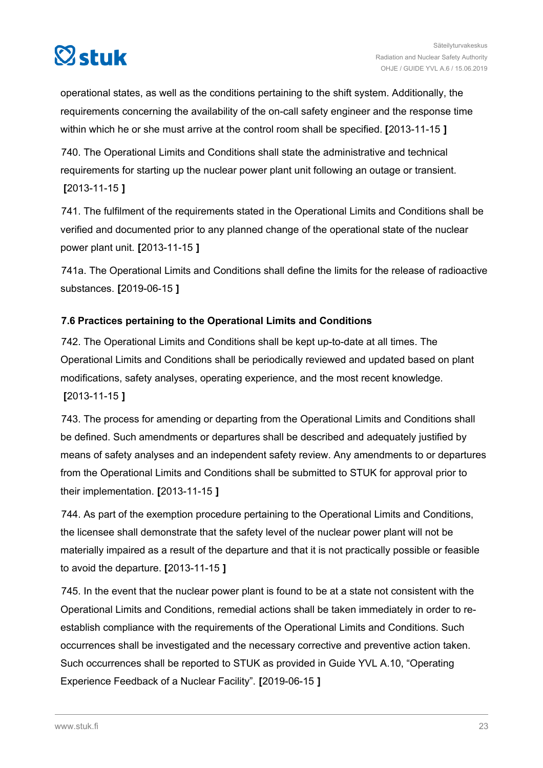<span id="page-22-0"></span>

operational states, as well as the conditions pertaining to the shift system. Additionally, the requirements concerning the availability of the on-call safety engineer and the response time within which he or she must arrive at the control room shall be specified. **[**2013-11-15 **]**

740. The Operational Limits and Conditions shall state the administrative and technical requirements for starting up the nuclear power plant unit following an outage or transient. **[**2013-11-15 **]**

741. The fulfilment of the requirements stated in the Operational Limits and Conditions shall be verified and documented prior to any planned change of the operational state of the nuclear power plant unit. **[**2013-11-15 **]**

741a. The Operational Limits and Conditions shall define the limits for the release of radioactive substances. **[**2019-06-15 **]**

#### **7.6 Practices pertaining to the Operational Limits and Conditions**

742. The Operational Limits and Conditions shall be kept up-to-date at all times. The Operational Limits and Conditions shall be periodically reviewed and updated based on plant modifications, safety analyses, operating experience, and the most recent knowledge. **[**2013-11-15 **]**

743. The process for amending or departing from the Operational Limits and Conditions shall be defined. Such amendments or departures shall be described and adequately justified by means of safety analyses and an independent safety review. Any amendments to or departures from the Operational Limits and Conditions shall be submitted to STUK for approval prior to their implementation. **[**2013-11-15 **]**

744. As part of the exemption procedure pertaining to the Operational Limits and Conditions, the licensee shall demonstrate that the safety level of the nuclear power plant will not be materially impaired as a result of the departure and that it is not practically possible or feasible to avoid the departure. **[**2013-11-15 **]**

745. In the event that the nuclear power plant is found to be at a state not consistent with the Operational Limits and Conditions, remedial actions shall be taken immediately in order to reestablish compliance with the requirements of the Operational Limits and Conditions. Such occurrences shall be investigated and the necessary corrective and preventive action taken. Such occurrences shall be reported to STUK as provided in Guide YVL A.10, "Operating Experience Feedback of a Nuclear Facility". **[**2019-06-15 **]**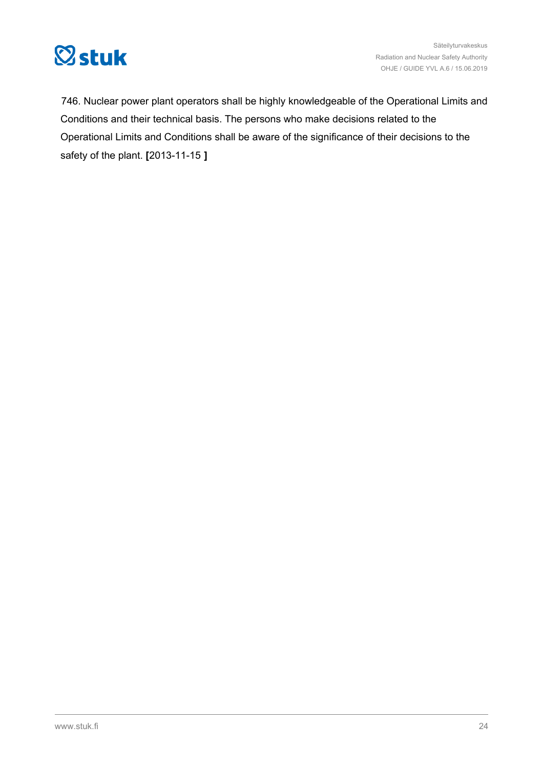

Säteilyturvakeskus Radiation and Nuclear Safety Authority OHJE / GUIDE YVL A.6 / 15.06.2019

746. Nuclear power plant operators shall be highly knowledgeable of the Operational Limits and Conditions and their technical basis. The persons who make decisions related to the Operational Limits and Conditions shall be aware of the significance of their decisions to the safety of the plant. **[**2013-11-15 **]**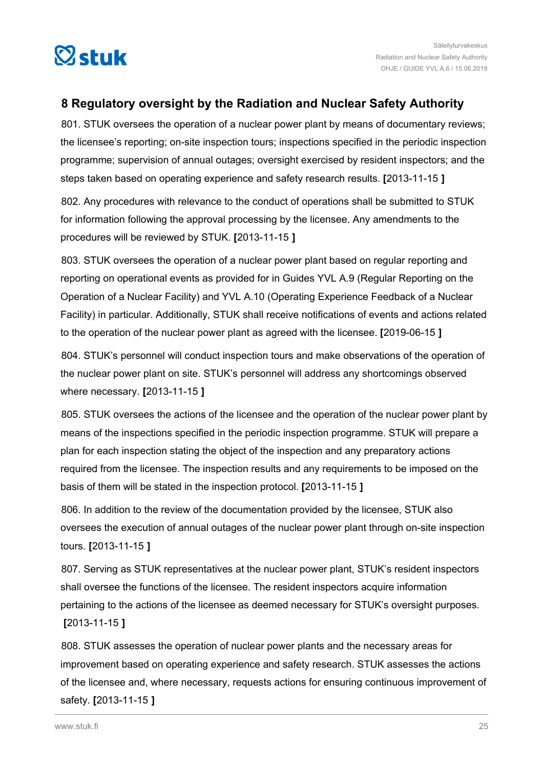<span id="page-24-0"></span>

## **8 Regulatory oversight by the Radiation and Nuclear Safety Authority**

801. STUK oversees the operation of a nuclear power plant by means of documentary reviews; the licensee's reporting; on-site inspection tours; inspections specified in the periodic inspection programme; supervision of annual outages; oversight exercised by resident inspectors; and the steps taken based on operating experience and safety research results. **[**2013-11-15 **]**

802. Any procedures with relevance to the conduct of operations shall be submitted to STUK for information following the approval processing by the licensee. Any amendments to the procedures will be reviewed by STUK. **[**2013-11-15 **]**

803. STUK oversees the operation of a nuclear power plant based on regular reporting and reporting on operational events as provided for in Guides YVL A.9 (Regular Reporting on the Operation of a Nuclear Facility) and YVL A.10 (Operating Experience Feedback of a Nuclear Facility) in particular. Additionally, STUK shall receive notifications of events and actions related to the operation of the nuclear power plant as agreed with the licensee. **[**2019-06-15 **]**

804. STUK's personnel will conduct inspection tours and make observations of the operation of the nuclear power plant on site. STUK's personnel will address any shortcomings observed where necessary. **[**2013-11-15 **]**

805. STUK oversees the actions of the licensee and the operation of the nuclear power plant by means of the inspections specified in the periodic inspection programme. STUK will prepare a plan for each inspection stating the object of the inspection and any preparatory actions required from the licensee. The inspection results and any requirements to be imposed on the basis of them will be stated in the inspection protocol. **[**2013-11-15 **]**

806. In addition to the review of the documentation provided by the licensee, STUK also oversees the execution of annual outages of the nuclear power plant through on-site inspection tours. **[**2013-11-15 **]**

807. Serving as STUK representatives at the nuclear power plant, STUK's resident inspectors shall oversee the functions of the licensee. The resident inspectors acquire information pertaining to the actions of the licensee as deemed necessary for STUK's oversight purposes. **[**2013-11-15 **]**

808. STUK assesses the operation of nuclear power plants and the necessary areas for improvement based on operating experience and safety research. STUK assesses the actions of the licensee and, where necessary, requests actions for ensuring continuous improvement of safety. **[**2013-11-15 **]**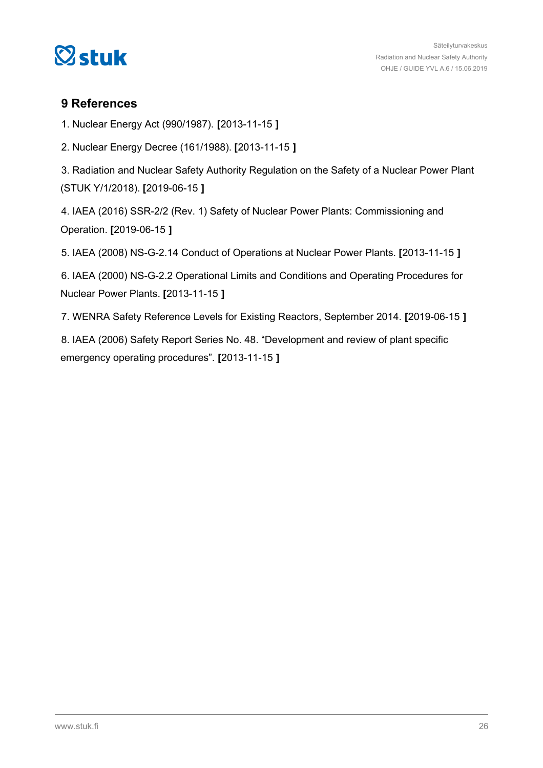<span id="page-25-0"></span>

### **9 References**

1. Nuclear Energy Act (990/1987). **[**2013-11-15 **]**

2. Nuclear Energy Decree (161/1988). **[**2013-11-15 **]**

3. Radiation and Nuclear Safety Authority Regulation on the Safety of a Nuclear Power Plant (STUK Y/1/2018). **[**2019-06-15 **]**

4. IAEA (2016) SSR-2/2 (Rev. 1) Safety of Nuclear Power Plants: Commissioning and Operation. **[**2019-06-15 **]**

5. IAEA (2008) NS-G-2.14 Conduct of Operations at Nuclear Power Plants. **[**2013-11-15 **]**

6. IAEA (2000) NS-G-2.2 Operational Limits and Conditions and Operating Procedures for Nuclear Power Plants. **[**2013-11-15 **]**

7. WENRA Safety Reference Levels for Existing Reactors, September 2014. **[**2019-06-15 **]**

8. IAEA (2006) Safety Report Series No. 48. "Development and review of plant specific emergency operating procedures". **[**2013-11-15 **]**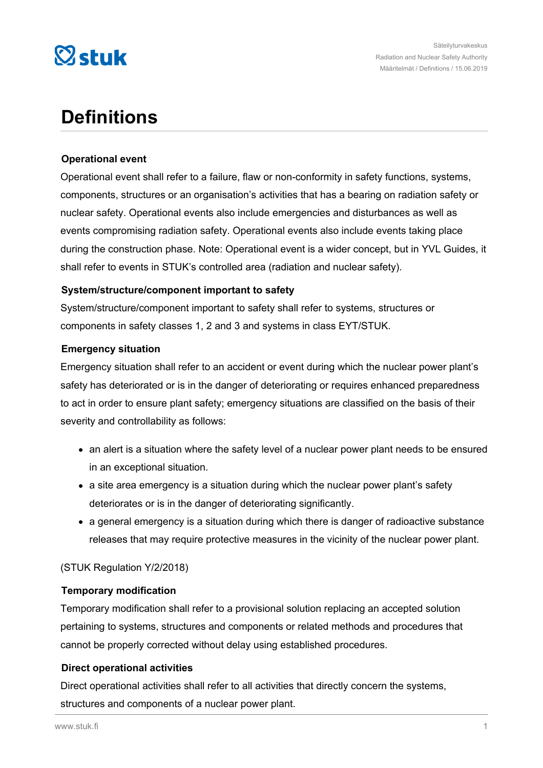

## **Definitions**

#### **Operational event**

Operational event shall refer to a failure, flaw or non-conformity in safety functions, systems, components, structures or an organisation's activities that has a bearing on radiation safety or nuclear safety. Operational events also include emergencies and disturbances as well as events compromising radiation safety. Operational events also include events taking place during the construction phase. Note: Operational event is a wider concept, but in YVL Guides, it shall refer to events in STUK's controlled area (radiation and nuclear safety).

#### **System/structure/component important to safety**

System/structure/component important to safety shall refer to systems, structures or components in safety classes 1, 2 and 3 and systems in class EYT/STUK.

#### **Emergency situation**

Emergency situation shall refer to an accident or event during which the nuclear power plant's safety has deteriorated or is in the danger of deteriorating or requires enhanced preparedness to act in order to ensure plant safety; emergency situations are classified on the basis of their severity and controllability as follows:

- an alert is a situation where the safety level of a nuclear power plant needs to be ensured in an exceptional situation.
- a site area emergency is a situation during which the nuclear power plant's safety deteriorates or is in the danger of deteriorating significantly.
- a general emergency is a situation during which there is danger of radioactive substance releases that may require protective measures in the vicinity of the nuclear power plant.

#### (STUK Regulation Y/2/2018)

#### **Temporary modification**

Temporary modification shall refer to a provisional solution replacing an accepted solution pertaining to systems, structures and components or related methods and procedures that cannot be properly corrected without delay using established procedures.

#### **Direct operational activities**

Direct operational activities shall refer to all activities that directly concern the systems, structures and components of a nuclear power plant.